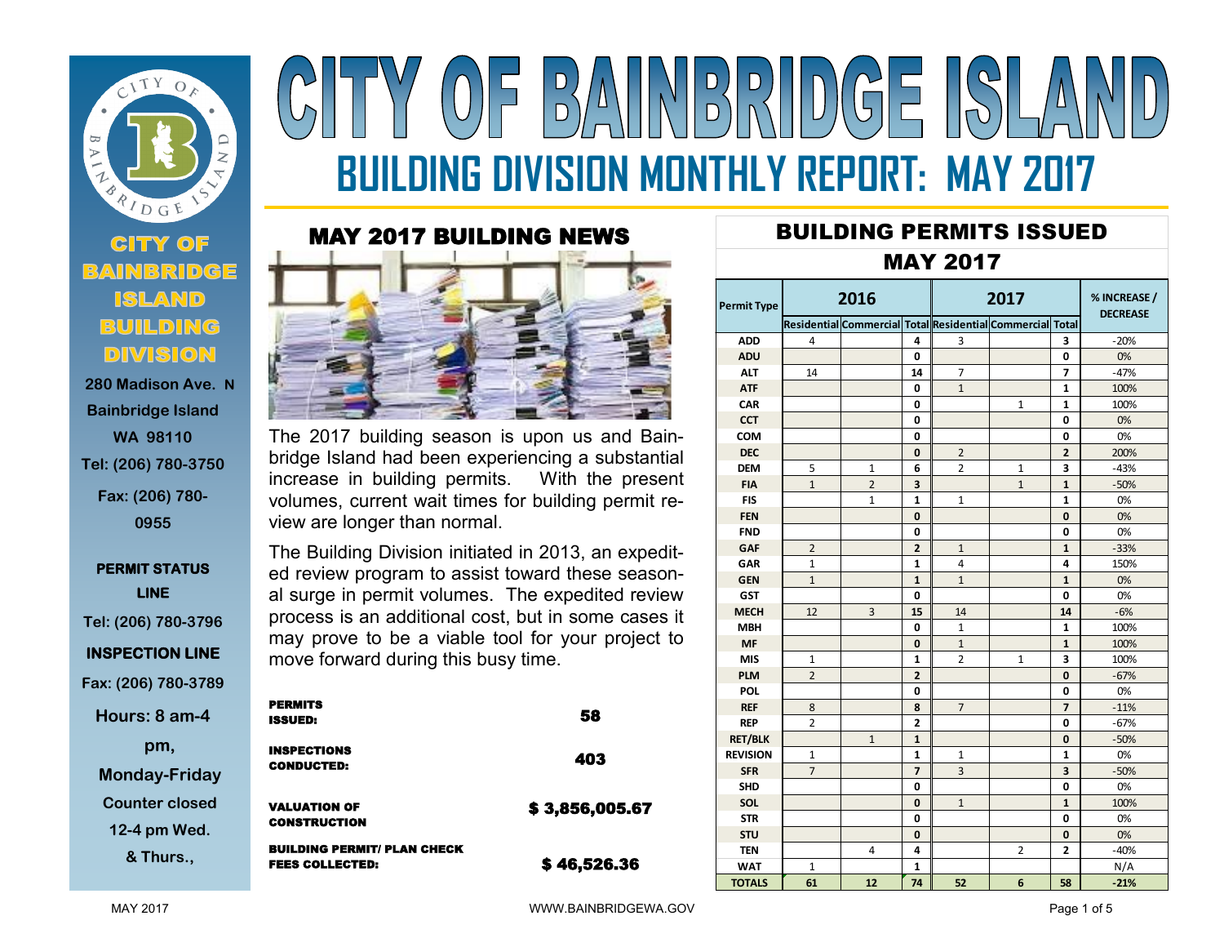

# **280 Madison Ave. N Bainbridge Island WA 98110 Tel: (206) 780-3750 Fax: (206) 780- 0955**

# **PERMIT STATUS LINE Tel: (206) 780-3796**

**INSPECTION LINE** 

**Fax: (206) 780-3789**

**Hours: 8 am-4** 

**pm, Monday-Friday**

**Counter closed** 

**12-4 pm Wed.** 

**& Thurs.,** 

# $(0)$  = B) NINDRUDGE ISLA **BUILDING DIVISION MONTHLY REPORT: MAY 2017**

# MAY 2017 BUILDING NEWS



The 2017 building season is upon us and Bainbridge Island had been experiencing a substantial increase in building permits. With the present volumes, current wait times for building permit review are longer than normal.

The Building Division initiated in 2013, an expedited review program to assist toward these seasonal surge in permit volumes. The expedited review process is an additional cost, but in some cases it may prove to be a viable tool for your project to move forward during this busy time.

| <b>PERMITS</b><br><b>ISSUED:</b>                             | 58             |
|--------------------------------------------------------------|----------------|
| <b>INSPECTIONS</b><br><b>CONDUCTED:</b>                      | 403            |
| <b>VALUATION OF</b><br><b>CONSTRUCTION</b>                   | \$3,856,005.67 |
| <b>BUILDING PERMIT/ PLAN CHECK</b><br><b>FEES COLLECTED:</b> | \$46,526.36    |

# BUILDING PERMITS ISSUED

## MAY 2017

| Permit Type     | 2016           |                |                | 2017           |                                                           |                | % INCREASE /<br><b>DECREASE</b> |  |
|-----------------|----------------|----------------|----------------|----------------|-----------------------------------------------------------|----------------|---------------------------------|--|
|                 |                |                |                |                | Residential Commercial Total Residential Commercial Total |                |                                 |  |
| <b>ADD</b>      | 4              |                | 4              | 3              |                                                           | 3              | $-20%$                          |  |
| <b>ADU</b>      |                |                | 0              |                |                                                           | 0              | 0%                              |  |
| <b>ALT</b>      | 14             |                | 14             | 7              |                                                           | 7              | $-47%$                          |  |
| <b>ATF</b>      |                |                | 0              | $\overline{1}$ |                                                           | $\mathbf{1}$   | 100%                            |  |
| CAR             |                |                | 0              |                | 1                                                         | 1              | 100%                            |  |
| <b>CCT</b>      |                |                | 0              |                |                                                           | 0              | 0%                              |  |
| COM             |                |                | 0              |                |                                                           | 0              | 0%                              |  |
| <b>DEC</b>      |                |                | 0              | $\overline{2}$ |                                                           | $\overline{2}$ | 200%                            |  |
| <b>DEM</b>      | 5              | $\mathbf{1}$   | 6              | 2              | 1                                                         | 3              | $-43%$                          |  |
| <b>FIA</b>      | $\mathbf{1}$   | $\overline{2}$ | 3              |                | $\mathbf{1}$                                              | $\mathbf{1}$   | $-50%$                          |  |
| <b>FIS</b>      |                | $\mathbf{1}$   | $\mathbf{1}$   | $\mathbf{1}$   |                                                           | $\mathbf{1}$   | 0%                              |  |
| <b>FEN</b>      |                |                | 0              |                |                                                           | 0              | 0%                              |  |
| <b>FND</b>      |                |                | 0              |                |                                                           | 0              | 0%                              |  |
| GAF             | $\overline{2}$ |                | $\overline{2}$ | $\mathbf{1}$   |                                                           | $\mathbf{1}$   | $-33%$                          |  |
| <b>GAR</b>      | 1              |                | 1              | 4              |                                                           | 4              | 150%                            |  |
| <b>GEN</b>      | $\mathbf{1}$   |                | 1              | $\mathbf{1}$   |                                                           | 1              | 0%                              |  |
| <b>GST</b>      |                |                | 0              |                |                                                           | 0              | 0%                              |  |
| <b>MECH</b>     | 12             | 3              | 15             | 14             |                                                           | 14             | $-6%$                           |  |
| <b>MBH</b>      |                |                | 0              | $\mathbf{1}$   |                                                           | 1              | 100%                            |  |
| <b>MF</b>       |                |                | 0              | $\mathbf{1}$   |                                                           | $\mathbf{1}$   | 100%                            |  |
| <b>MIS</b>      | 1              |                | 1              | $\overline{2}$ | $\mathbf{1}$                                              | 3              | 100%                            |  |
| <b>PLM</b>      | $\overline{2}$ |                | $\overline{2}$ |                |                                                           | $\bf{0}$       | $-67%$                          |  |
| <b>POL</b>      |                |                | 0              |                |                                                           | 0              | 0%                              |  |
| <b>REF</b>      | 8              |                | 8              | $\overline{7}$ |                                                           | $\overline{7}$ | $-11%$                          |  |
| <b>REP</b>      | $\overline{2}$ |                | $\overline{2}$ |                |                                                           | 0              | $-67%$                          |  |
| <b>RET/BLK</b>  |                | $\mathbf{1}$   | 1              |                |                                                           | 0              | $-50%$                          |  |
| <b>REVISION</b> | $\mathbf{1}$   |                | 1              | 1              |                                                           | 1              | 0%                              |  |
| <b>SFR</b>      | $\overline{7}$ |                | 7              | 3              |                                                           | 3              | $-50%$                          |  |
| <b>SHD</b>      |                |                | 0              |                |                                                           | 0              | 0%                              |  |
| SOL             |                |                | 0              | $\mathbf{1}$   |                                                           | $\mathbf{1}$   | 100%                            |  |
| <b>STR</b>      |                |                | 0              |                |                                                           | 0              | 0%                              |  |
| <b>STU</b>      |                |                | $\bf{0}$       |                |                                                           | 0              | 0%                              |  |
| <b>TEN</b>      |                | 4              | 4              |                | $\overline{2}$                                            | $\overline{2}$ | $-40%$                          |  |
| <b>WAT</b>      | 1              |                | 1              |                |                                                           |                | N/A                             |  |
| <b>TOTALS</b>   | 61             | 12             | 74             | 52             | 6                                                         | 58             | $-21%$                          |  |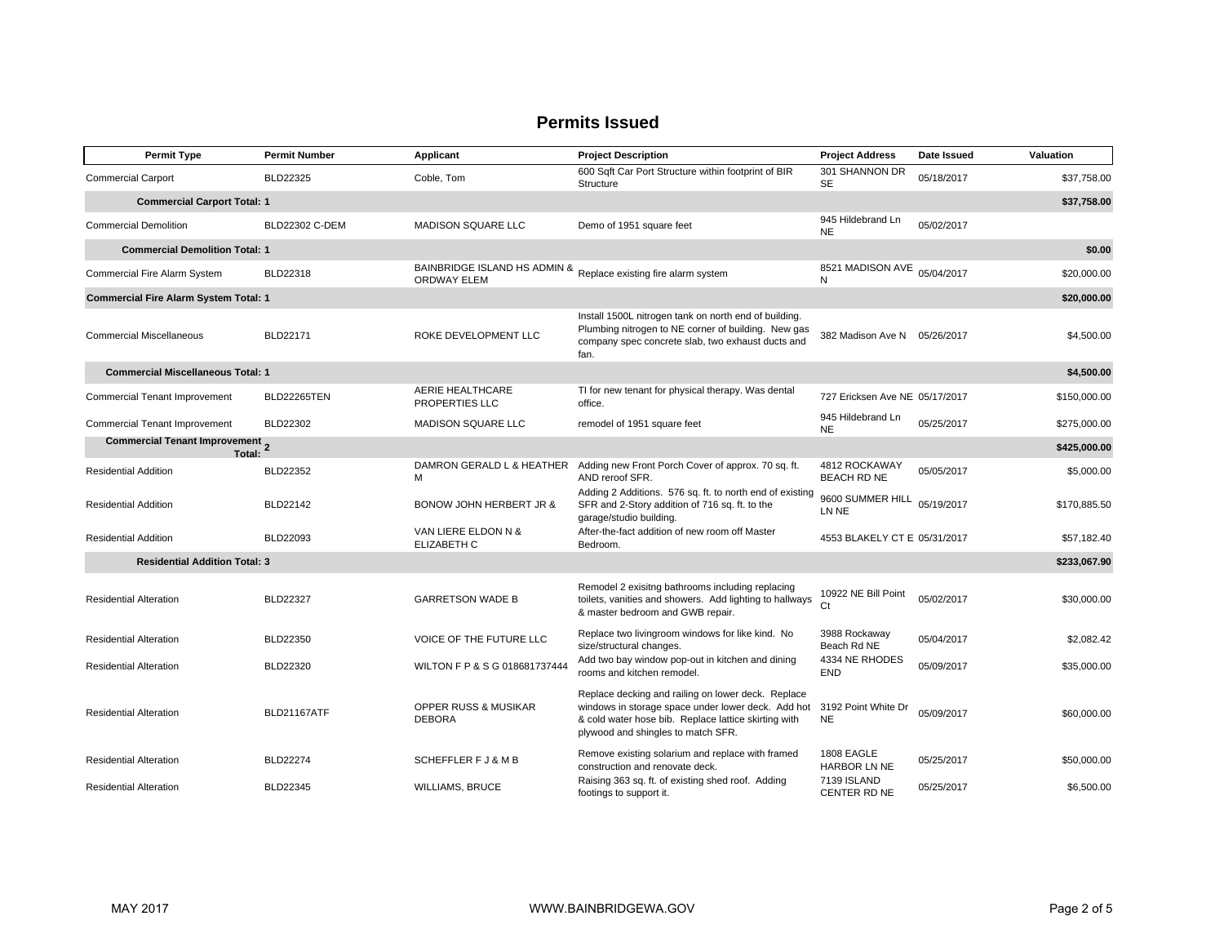| <b>Permit Type</b>                               | <b>Permit Number</b> | Applicant                                                                             | <b>Project Description</b>                                                                                                                                                                             | <b>Project Address</b>              | Date Issued | Valuation    |
|--------------------------------------------------|----------------------|---------------------------------------------------------------------------------------|--------------------------------------------------------------------------------------------------------------------------------------------------------------------------------------------------------|-------------------------------------|-------------|--------------|
| <b>Commercial Carport</b>                        | BLD22325             | Coble, Tom                                                                            | 600 Sqft Car Port Structure within footprint of BIR<br>Structure                                                                                                                                       | 301 SHANNON DR<br><b>SE</b>         | 05/18/2017  | \$37,758.00  |
| <b>Commercial Carport Total: 1</b>               |                      |                                                                                       |                                                                                                                                                                                                        |                                     |             |              |
| <b>Commercial Demolition</b>                     | BLD22302 C-DEM       | MADISON SQUARE LLC                                                                    | Demo of 1951 square feet                                                                                                                                                                               | 945 Hildebrand Ln<br><b>NE</b>      | 05/02/2017  |              |
| <b>Commercial Demolition Total: 1</b>            |                      |                                                                                       |                                                                                                                                                                                                        |                                     |             | \$0.00       |
| Commercial Fire Alarm System                     | BLD22318             | BAINBRIDGE ISLAND HS ADMIN & Replace existing fire alarm system<br><b>ORDWAY ELEM</b> |                                                                                                                                                                                                        | 8521 MADISON AVE 05/04/2017<br>N    |             | \$20,000.00  |
| <b>Commercial Fire Alarm System Total: 1</b>     |                      |                                                                                       |                                                                                                                                                                                                        |                                     |             | \$20,000.00  |
| <b>Commercial Miscellaneous</b>                  | BLD22171             | ROKE DEVELOPMENT LLC                                                                  | Install 1500L nitrogen tank on north end of building.<br>Plumbing nitrogen to NE corner of building. New gas<br>company spec concrete slab, two exhaust ducts and<br>fan.                              | 382 Madison Ave N                   | 05/26/2017  | \$4,500.00   |
| <b>Commercial Miscellaneous Total: 1</b>         |                      |                                                                                       |                                                                                                                                                                                                        |                                     |             | \$4,500.00   |
| <b>Commercial Tenant Improvement</b>             | <b>BLD22265TEN</b>   | AERIE HEALTHCARE<br>PROPERTIES LLC                                                    | TI for new tenant for physical therapy. Was dental<br>office.                                                                                                                                          | 727 Ericksen Ave NE 05/17/2017      |             | \$150,000.00 |
| <b>Commercial Tenant Improvement</b>             | BLD22302             | <b>MADISON SQUARE LLC</b>                                                             | remodel of 1951 square feet                                                                                                                                                                            | 945 Hildebrand Ln<br><b>NE</b>      | 05/25/2017  | \$275,000.00 |
| <b>Commercial Tenant Improvement</b> 2<br>Total: |                      |                                                                                       |                                                                                                                                                                                                        |                                     |             | \$425,000.00 |
| <b>Residential Addition</b>                      | <b>BLD22352</b>      | DAMRON GERALD L & HEATHER<br>M                                                        | Adding new Front Porch Cover of approx. 70 sq. ft.<br>AND reroof SFR.                                                                                                                                  | 4812 ROCKAWAY<br><b>BEACH RD NE</b> | 05/05/2017  | \$5,000.00   |
| <b>Residential Addition</b>                      | BLD22142             | BONOW JOHN HERBERT JR &                                                               | Adding 2 Additions. 576 sq. ft. to north end of existing<br>SFR and 2-Story addition of 716 sq. ft. to the<br>garage/studio building.                                                                  | 9600 SUMMER HILL<br>LN NE           | 05/19/2017  | \$170,885.50 |
| <b>Residential Addition</b>                      | BLD22093             | VAN LIERE ELDON N &<br>ELIZABETH C                                                    | After-the-fact addition of new room off Master<br>Bedroom.                                                                                                                                             | 4553 BLAKELY CT E 05/31/2017        |             | \$57,182.40  |
| <b>Residential Addition Total: 3</b>             |                      |                                                                                       |                                                                                                                                                                                                        |                                     |             | \$233,067.90 |
| <b>Residential Alteration</b>                    | <b>BLD22327</b>      | <b>GARRETSON WADE B</b>                                                               | Remodel 2 exisitng bathrooms including replacing<br>toilets, vanities and showers. Add lighting to hallways<br>& master bedroom and GWB repair.                                                        | 10922 NE Bill Point<br>Ct.          | 05/02/2017  | \$30,000.00  |
| <b>Residential Alteration</b>                    | BLD22350             | VOICE OF THE FUTURE LLC                                                               | Replace two livingroom windows for like kind. No<br>size/structural changes.                                                                                                                           | 3988 Rockaway<br>Beach Rd NE        | 05/04/2017  | \$2,082.42   |
| <b>Residential Alteration</b>                    | BLD22320             | WILTON F P & S G 018681737444                                                         | Add two bay window pop-out in kitchen and dining<br>rooms and kitchen remodel.                                                                                                                         | 4334 NE RHODES<br><b>END</b>        | 05/09/2017  | \$35,000.00  |
| <b>Residential Alteration</b>                    | <b>BLD21167ATF</b>   | OPPER RUSS & MUSIKAR<br><b>DEBORA</b>                                                 | Replace decking and railing on lower deck. Replace<br>windows in storage space under lower deck. Add hot<br>& cold water hose bib. Replace lattice skirting with<br>plywood and shingles to match SFR. | 3192 Point White Dr<br><b>NE</b>    | 05/09/2017  | \$60,000.00  |
| <b>Residential Alteration</b>                    | <b>BLD22274</b>      | SCHEFFLER F J & M B                                                                   | Remove existing solarium and replace with framed<br>construction and renovate deck.                                                                                                                    | 1808 EAGLE<br>HARBOR LN NE          | 05/25/2017  | \$50,000.00  |
| <b>Residential Alteration</b>                    | BLD22345             | <b>WILLIAMS, BRUCE</b>                                                                | Raising 363 sq. ft. of existing shed roof. Adding<br>footings to support it.                                                                                                                           | 7139 ISLAND<br>CENTER RD NE         | 05/25/2017  | \$6,500.00   |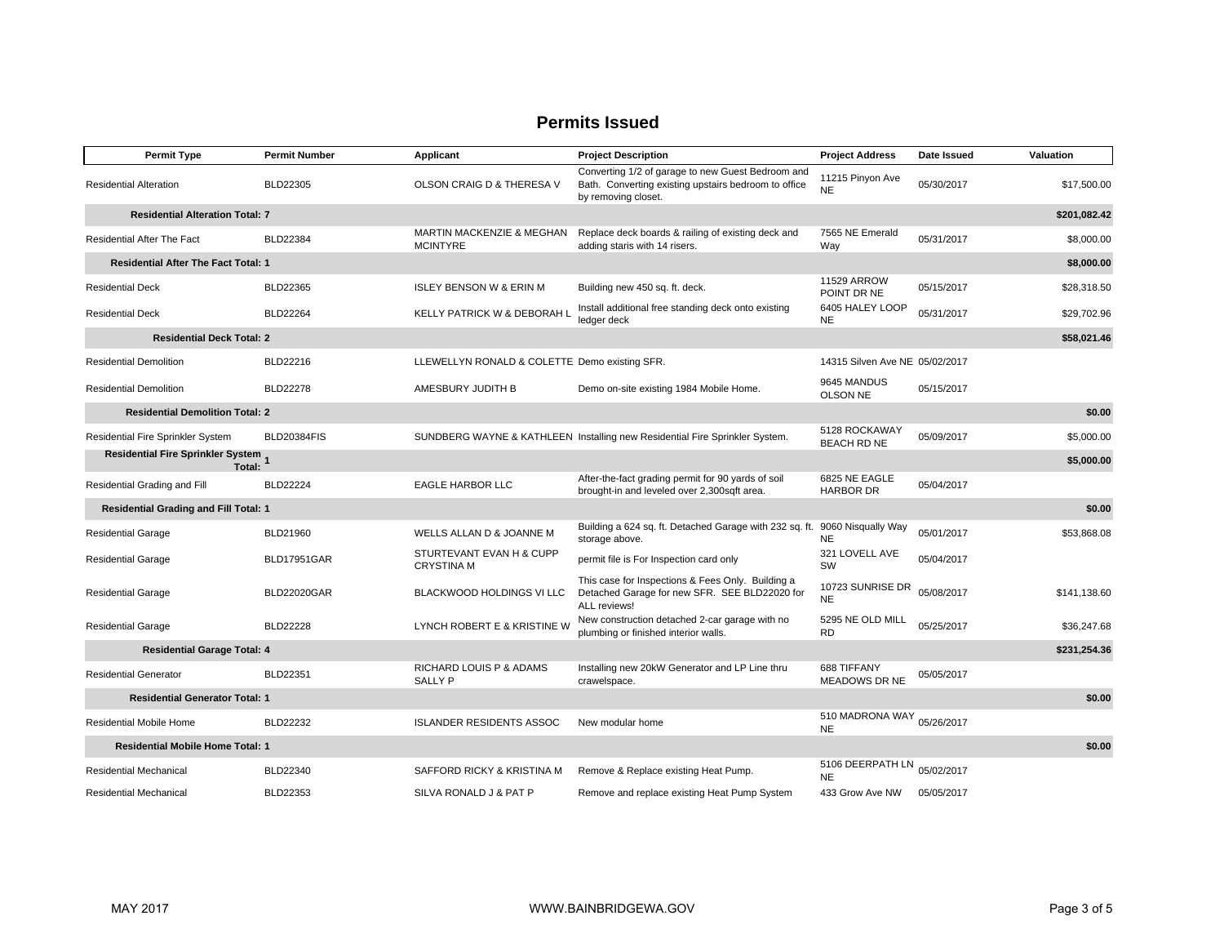| <b>Permit Type</b>                              | <b>Permit Number</b> | Applicant                                               | <b>Project Description</b>                                                                                                       | <b>Project Address</b>                  | Date Issued | Valuation    |
|-------------------------------------------------|----------------------|---------------------------------------------------------|----------------------------------------------------------------------------------------------------------------------------------|-----------------------------------------|-------------|--------------|
| <b>Residential Alteration</b>                   | BLD22305             | OLSON CRAIG D & THERESA V                               | Converting 1/2 of garage to new Guest Bedroom and<br>Bath. Converting existing upstairs bedroom to office<br>by removing closet. | 11215 Pinyon Ave<br><b>NE</b>           | 05/30/2017  | \$17,500.00  |
| <b>Residential Alteration Total: 7</b>          |                      |                                                         |                                                                                                                                  |                                         |             | \$201,082.42 |
| Residential After The Fact                      | <b>BLD22384</b>      | <b>MARTIN MACKENZIE &amp; MEGHAN</b><br><b>MCINTYRE</b> | Replace deck boards & railing of existing deck and<br>adding staris with 14 risers.                                              | 7565 NE Emerald<br>Way                  | 05/31/2017  | \$8,000.00   |
| <b>Residential After The Fact Total: 1</b>      |                      |                                                         |                                                                                                                                  |                                         |             | \$8,000.00   |
| <b>Residential Deck</b>                         | BLD22365             | <b>ISLEY BENSON W &amp; ERIN M</b>                      | Building new 450 sq. ft. deck.                                                                                                   | 11529 ARROW<br>POINT DR NE              | 05/15/2017  | \$28,318.50  |
| <b>Residential Deck</b>                         | BLD22264             | KELLY PATRICK W & DEBORAH L                             | Install additional free standing deck onto existing<br>ledger deck                                                               | 6405 HALEY LOOP<br><b>NE</b>            | 05/31/2017  | \$29,702.96  |
| <b>Residential Deck Total: 2</b>                |                      |                                                         |                                                                                                                                  |                                         |             | \$58,021.46  |
| <b>Residential Demolition</b>                   | BLD22216             | LLEWELLYN RONALD & COLETTE Demo existing SFR.           |                                                                                                                                  | 14315 Silven Ave NE 05/02/2017          |             |              |
| <b>Residential Demolition</b>                   | <b>BLD22278</b>      | AMESBURY JUDITH B                                       | Demo on-site existing 1984 Mobile Home.                                                                                          | 9645 MANDUS<br><b>OLSON NE</b>          | 05/15/2017  |              |
| <b>Residential Demolition Total: 2</b>          |                      |                                                         |                                                                                                                                  |                                         |             | \$0.00       |
| Residential Fire Sprinkler System               | <b>BLD20384FIS</b>   |                                                         | SUNDBERG WAYNE & KATHLEEN Installing new Residential Fire Sprinkler System.                                                      | 5128 ROCKAWAY<br><b>BEACH RD NE</b>     | 05/09/2017  | \$5,000.00   |
| Residential Fire Sprinkler System 1<br>Total:   |                      |                                                         |                                                                                                                                  |                                         |             | \$5,000.00   |
| Residential Grading and Fill                    | <b>BLD22224</b>      | <b>EAGLE HARBOR LLC</b>                                 | After-the-fact grading permit for 90 yards of soil<br>brought-in and leveled over 2,300sqft area.                                | 6825 NE EAGLE<br><b>HARBOR DR</b>       | 05/04/2017  |              |
| <b>Residential Grading and Fill Total: 1</b>    |                      |                                                         |                                                                                                                                  |                                         |             | \$0.00       |
| <b>Residential Garage</b>                       | BLD21960             | WELLS ALLAN D & JOANNE M                                | Building a 624 sq. ft. Detached Garage with 232 sq. ft. 9060 Nisqually Way<br>storage above.                                     | <b>NE</b>                               | 05/01/2017  | \$53,868.08  |
| <b>Residential Garage</b>                       | <b>BLD17951GAR</b>   | STURTEVANT EVAN H & CUPP<br><b>CRYSTINA M</b>           | permit file is For Inspection card only                                                                                          | 321 LOVELL AVE<br><b>SW</b>             | 05/04/2017  |              |
| <b>Residential Garage</b>                       | <b>BLD22020GAR</b>   | BLACKWOOD HOLDINGS VI LLC                               | This case for Inspections & Fees Only. Building a<br>Detached Garage for new SFR. SEE BLD22020 for<br>ALL reviews!               | 10723 SUNRISE DR<br><b>NE</b>           | 05/08/2017  | \$141,138.60 |
| <b>Residential Garage</b>                       | <b>BLD22228</b>      | LYNCH ROBERT E & KRISTINE W                             | New construction detached 2-car garage with no<br>plumbing or finished interior walls.                                           | 5295 NE OLD MILL<br><b>RD</b>           | 05/25/2017  | \$36,247.68  |
| <b>Residential Garage Total: 4</b>              |                      |                                                         |                                                                                                                                  |                                         |             | \$231,254.36 |
| <b>Residential Generator</b>                    | BLD22351             | RICHARD LOUIS P & ADAMS<br><b>SALLY P</b>               | Installing new 20kW Generator and LP Line thru<br>crawelspace.                                                                   | 688 TIFFANY<br>MEADOWS DR NE            | 05/05/2017  |              |
| <b>Residential Generator Total: 1</b><br>\$0.00 |                      |                                                         |                                                                                                                                  |                                         |             |              |
| <b>Residential Mobile Home</b>                  | <b>BLD22232</b>      | <b>ISLANDER RESIDENTS ASSOC</b>                         | New modular home                                                                                                                 | 510 MADRONA WAY 05/26/2017<br><b>NE</b> |             |              |
| <b>Residential Mobile Home Total: 1</b>         |                      |                                                         |                                                                                                                                  |                                         |             | \$0.00       |
| <b>Residential Mechanical</b>                   | BLD22340             | SAFFORD RICKY & KRISTINA M                              | Remove & Replace existing Heat Pump.                                                                                             | 5106 DEERPATH LN<br><b>NE</b>           | 05/02/2017  |              |
| <b>Residential Mechanical</b>                   | BLD22353             | SILVA RONALD J & PAT P                                  | Remove and replace existing Heat Pump System                                                                                     | 433 Grow Ave NW                         | 05/05/2017  |              |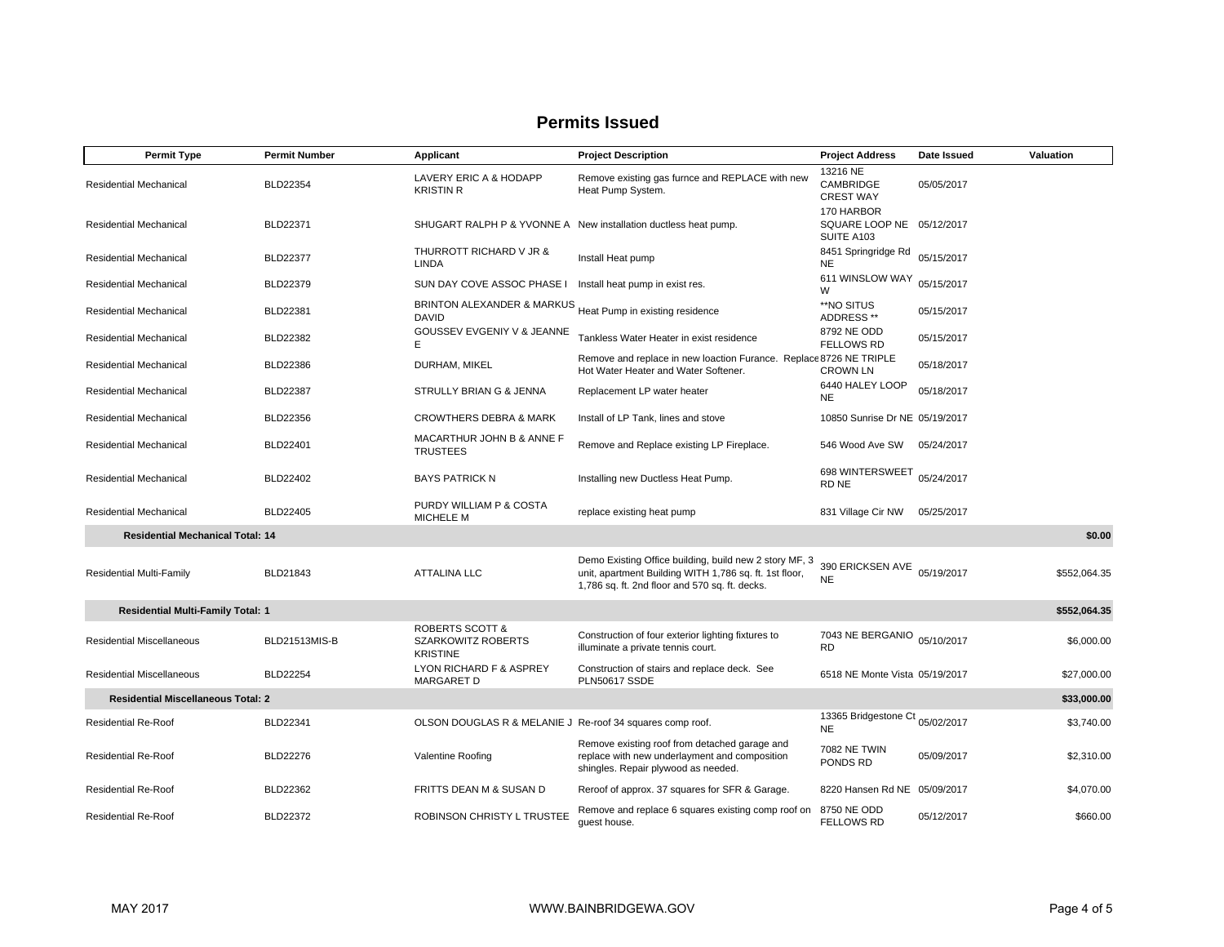| <b>Permit Type</b>                                       | <b>Permit Number</b> | Applicant                                                                  | <b>Project Description</b>                                                                                                                                         | <b>Project Address</b>                                | Date Issued | Valuation    |
|----------------------------------------------------------|----------------------|----------------------------------------------------------------------------|--------------------------------------------------------------------------------------------------------------------------------------------------------------------|-------------------------------------------------------|-------------|--------------|
| Residential Mechanical                                   | BLD22354             | LAVERY ERIC A & HODAPP<br><b>KRISTIN R</b>                                 | Remove existing gas furnce and REPLACE with new<br>Heat Pump System.                                                                                               | 13216 NE<br><b>CAMBRIDGE</b><br><b>CREST WAY</b>      | 05/05/2017  |              |
| Residential Mechanical                                   | BLD22371             |                                                                            | SHUGART RALPH P & YVONNE A New installation ductless heat pump.                                                                                                    | 170 HARBOR<br>SQUARE LOOP NE 05/12/2017<br>SUITE A103 |             |              |
| Residential Mechanical                                   | <b>BLD22377</b>      | THURROTT RICHARD V JR &<br><b>LINDA</b>                                    | Install Heat pump                                                                                                                                                  | 8451 Springridge Rd<br><b>NE</b>                      | 05/15/2017  |              |
| <b>Residential Mechanical</b>                            | BLD22379             | SUN DAY COVE ASSOC PHASE I Install heat pump in exist res.                 |                                                                                                                                                                    | 611 WINSLOW WAY<br>W                                  | 05/15/2017  |              |
| <b>Residential Mechanical</b>                            | <b>BLD22381</b>      | BRINTON ALEXANDER & MARKUS Heat Pump in existing residence<br><b>DAVID</b> |                                                                                                                                                                    | **NO SITUS<br>ADDRESS **                              | 05/15/2017  |              |
| Residential Mechanical                                   | BLD22382             | GOUSSEV EVGENIY V & JEANNE<br>E                                            | Tankless Water Heater in exist residence                                                                                                                           | 8792 NE ODD<br><b>FELLOWS RD</b>                      | 05/15/2017  |              |
| Residential Mechanical                                   | <b>BLD22386</b>      | DURHAM, MIKEL                                                              | Remove and replace in new loaction Furance. Replace 8726 NE TRIPLE<br>Hot Water Heater and Water Softener.                                                         | <b>CROWN LN</b>                                       | 05/18/2017  |              |
| Residential Mechanical                                   | <b>BLD22387</b>      | STRULLY BRIAN G & JENNA                                                    | Replacement LP water heater                                                                                                                                        | 6440 HALEY LOOP<br><b>NE</b>                          | 05/18/2017  |              |
| Residential Mechanical                                   | BLD22356             | <b>CROWTHERS DEBRA &amp; MARK</b>                                          | Install of LP Tank, lines and stove                                                                                                                                | 10850 Sunrise Dr NE 05/19/2017                        |             |              |
| Residential Mechanical                                   | BLD22401             | MACARTHUR JOHN B & ANNE F<br><b>TRUSTEES</b>                               | Remove and Replace existing LP Fireplace.                                                                                                                          | 546 Wood Ave SW                                       | 05/24/2017  |              |
| Residential Mechanical                                   | BLD22402             | <b>BAYS PATRICK N</b>                                                      | Installing new Ductless Heat Pump.                                                                                                                                 | 698 WINTERSWEET<br>RD NE                              | 05/24/2017  |              |
| Residential Mechanical                                   | BLD22405             | PURDY WILLIAM P & COSTA<br>MICHELE M                                       | replace existing heat pump                                                                                                                                         | 831 Village Cir NW                                    | 05/25/2017  |              |
| <b>Residential Mechanical Total: 14</b>                  |                      |                                                                            |                                                                                                                                                                    |                                                       |             | \$0.00       |
| <b>Residential Multi-Family</b>                          | BLD21843             | <b>ATTALINA LLC</b>                                                        | Demo Existing Office building, build new 2 story MF, 3<br>unit, apartment Building WITH 1,786 sq. ft. 1st floor,<br>1,786 sq. ft. 2nd floor and 570 sq. ft. decks. | 390 ERICKSEN AVE<br><b>NE</b>                         | 05/19/2017  | \$552,064.35 |
| <b>Residential Multi-Family Total: 1</b>                 |                      |                                                                            |                                                                                                                                                                    |                                                       |             | \$552,064.35 |
| <b>Residential Miscellaneous</b>                         | BLD21513MIS-B        | <b>ROBERTS SCOTT &amp;</b><br><b>SZARKOWITZ ROBERTS</b><br><b>KRISTINE</b> | Construction of four exterior lighting fixtures to<br>illuminate a private tennis court.                                                                           | 7043 NE BERGANIO 05/10/2017<br><b>RD</b>              |             | \$6,000.00   |
| <b>Residential Miscellaneous</b>                         | <b>BLD22254</b>      | LYON RICHARD F & ASPREY<br><b>MARGARET D</b>                               | Construction of stairs and replace deck. See<br><b>PLN50617 SSDE</b>                                                                                               | 6518 NE Monte Vista 05/19/2017                        |             | \$27,000.00  |
| <b>Residential Miscellaneous Total: 2</b><br>\$33,000.00 |                      |                                                                            |                                                                                                                                                                    |                                                       |             |              |
| <b>Residential Re-Roof</b>                               | BLD22341             | OLSON DOUGLAS R & MELANIE J Re-roof 34 squares comp roof.                  |                                                                                                                                                                    | 13365 Bridgestone Ct 05/02/2017<br><b>NE</b>          |             | \$3,740.00   |
| <b>Residential Re-Roof</b>                               | <b>BLD22276</b>      | Valentine Roofing                                                          | Remove existing roof from detached garage and<br>replace with new underlayment and composition<br>shingles. Repair plywood as needed.                              | 7082 NE TWIN<br>PONDS RD                              | 05/09/2017  | \$2,310.00   |
| <b>Residential Re-Roof</b>                               | BLD22362             | FRITTS DEAN M & SUSAN D                                                    | Reroof of approx. 37 squares for SFR & Garage.                                                                                                                     | 8220 Hansen Rd NE 05/09/2017                          |             | \$4,070.00   |
| <b>Residential Re-Roof</b>                               | <b>BLD22372</b>      | ROBINSON CHRISTY L TRUSTEE                                                 | Remove and replace 6 squares existing comp roof on<br>quest house.                                                                                                 | 8750 NE ODD<br><b>FELLOWS RD</b>                      | 05/12/2017  | \$660.00     |